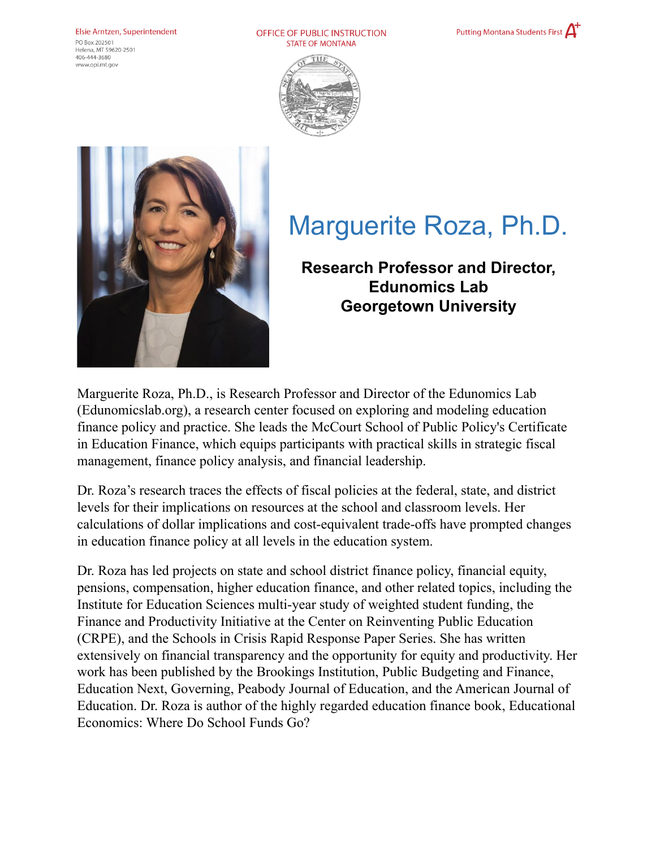## Elsie Arntzen, Superintendent

PO Box 202501 Helena, MT 59620-2501  $406 - 444 - 3680$ www.opi.mt.gov

OFFICE OF PUBLIC INSTRUCTION **STATE OF MONTANA** 







## Marguerite Roza, Ph.D.

**Research Professor and Director, Edunomics Lab Georgetown University**

Marguerite Roza, Ph.D., is Research Professor and Director of the Edunomics Lab (Edunomicslab.org), a research center focused on exploring and modeling education finance policy and practice. She leads the McCourt School of Public Policy's Certificate in Education Finance, which equips participants with practical skills in strategic fiscal management, finance policy analysis, and financial leadership.

Dr. Roza's research traces the effects of fiscal policies at the federal, state, and district levels for their implications on resources at the school and classroom levels. Her calculations of dollar implications and cost-equivalent trade-offs have prompted changes in education finance policy at all levels in the education system.

Dr. Roza has led projects on state and school district finance policy, financial equity, pensions, compensation, higher education finance, and other related topics, including the Institute for Education Sciences multi-year study of weighted student funding, the Finance and Productivity Initiative at the Center on Reinventing Public Education (CRPE), and the Schools in Crisis Rapid Response Paper Series. She has written extensively on financial transparency and the opportunity for equity and productivity. Her work has been published by the Brookings Institution, Public Budgeting and Finance, Education Next, Governing, Peabody Journal of Education, and the American Journal of Education. Dr. Roza is author of the highly regarded education finance book, Educational Economics: Where Do School Funds Go?